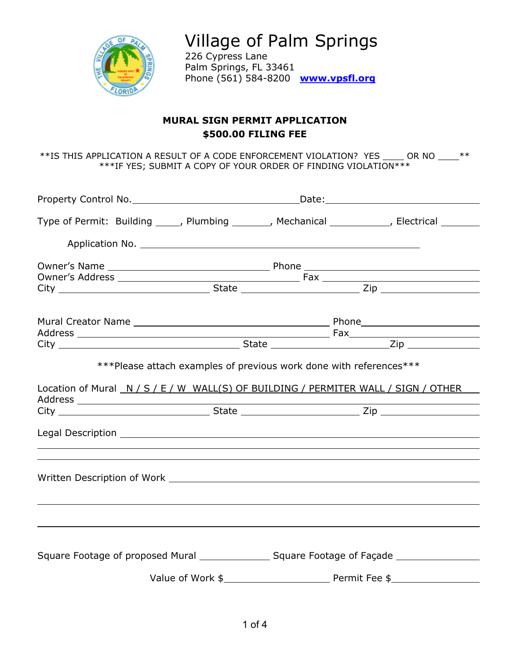

Village of Palm Springs 226 Cypress Lane Palm Springs, FL 33461

Phone (561) 584-8200 **[www.vpsfl.org](http://www.villageofpalmsprings.org/)**

# **MURAL SIGN PERMIT APPLICATION \$500.00 FILING FEE**

\*\*IS THIS APPLICATION A RESULT OF A CODE ENFORCEMENT VIOLATION? YES \_\_\_\_ OR NO \_\_\_\_\*\* \*\*\*IF YES; SUBMIT A COPY OF YOUR ORDER OF FINDING VIOLATION\*\*\*

| Type of Permit: Building _____, Plumbing _______, Mechanical ___________, Electrical ________                                                                                                                                  |  |  |  |
|--------------------------------------------------------------------------------------------------------------------------------------------------------------------------------------------------------------------------------|--|--|--|
| Application No. 1996. Application No. 2006. Application No. 2006. Application No. 2006. Application No. 2006.                                                                                                                  |  |  |  |
|                                                                                                                                                                                                                                |  |  |  |
|                                                                                                                                                                                                                                |  |  |  |
|                                                                                                                                                                                                                                |  |  |  |
|                                                                                                                                                                                                                                |  |  |  |
| Location of Mural N/S/E/W WALL(S) OF BUILDING / PERMITER WALL / SIGN / OTHER                                                                                                                                                   |  |  |  |
|                                                                                                                                                                                                                                |  |  |  |
| Legal Description and the contract of the contract of the contract of the contract of the contract of the contract of the contract of the contract of the contract of the contract of the contract of the contract of the cont |  |  |  |
|                                                                                                                                                                                                                                |  |  |  |
|                                                                                                                                                                                                                                |  |  |  |
|                                                                                                                                                                                                                                |  |  |  |
|                                                                                                                                                                                                                                |  |  |  |
|                                                                                                                                                                                                                                |  |  |  |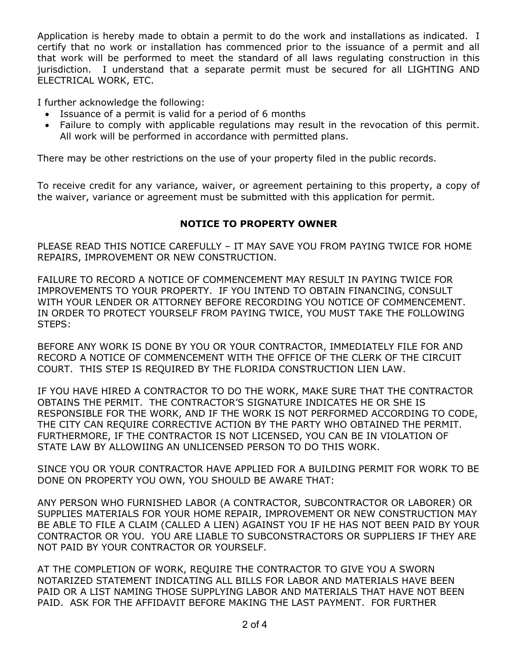Application is hereby made to obtain a permit to do the work and installations as indicated. I certify that no work or installation has commenced prior to the issuance of a permit and all that work will be performed to meet the standard of all laws regulating construction in this jurisdiction. I understand that a separate permit must be secured for all LIGHTING AND ELECTRICAL WORK, ETC.

I further acknowledge the following:

- Issuance of a permit is valid for a period of 6 months
- Failure to comply with applicable regulations may result in the revocation of this permit. All work will be performed in accordance with permitted plans.

There may be other restrictions on the use of your property filed in the public records.

To receive credit for any variance, waiver, or agreement pertaining to this property, a copy of the waiver, variance or agreement must be submitted with this application for permit.

# **NOTICE TO PROPERTY OWNER**

PLEASE READ THIS NOTICE CAREFULLY – IT MAY SAVE YOU FROM PAYING TWICE FOR HOME REPAIRS, IMPROVEMENT OR NEW CONSTRUCTION.

FAILURE TO RECORD A NOTICE OF COMMENCEMENT MAY RESULT IN PAYING TWICE FOR IMPROVEMENTS TO YOUR PROPERTY. IF YOU INTEND TO OBTAIN FINANCING, CONSULT WITH YOUR LENDER OR ATTORNEY BEFORE RECORDING YOU NOTICE OF COMMENCEMENT. IN ORDER TO PROTECT YOURSELF FROM PAYING TWICE, YOU MUST TAKE THE FOLLOWING STEPS:

BEFORE ANY WORK IS DONE BY YOU OR YOUR CONTRACTOR, IMMEDIATELY FILE FOR AND RECORD A NOTICE OF COMMENCEMENT WITH THE OFFICE OF THE CLERK OF THE CIRCUIT COURT. THIS STEP IS REQUIRED BY THE FLORIDA CONSTRUCTION LIEN LAW.

IF YOU HAVE HIRED A CONTRACTOR TO DO THE WORK, MAKE SURE THAT THE CONTRACTOR OBTAINS THE PERMIT. THE CONTRACTOR'S SIGNATURE INDICATES HE OR SHE IS RESPONSIBLE FOR THE WORK, AND IF THE WORK IS NOT PERFORMED ACCORDING TO CODE, THE CITY CAN REQUIRE CORRECTIVE ACTION BY THE PARTY WHO OBTAINED THE PERMIT. FURTHERMORE, IF THE CONTRACTOR IS NOT LICENSED, YOU CAN BE IN VIOLATION OF STATE LAW BY ALLOWIING AN UNLICENSED PERSON TO DO THIS WORK.

SINCE YOU OR YOUR CONTRACTOR HAVE APPLIED FOR A BUILDING PERMIT FOR WORK TO BE DONE ON PROPERTY YOU OWN, YOU SHOULD BE AWARE THAT:

ANY PERSON WHO FURNISHED LABOR (A CONTRACTOR, SUBCONTRACTOR OR LABORER) OR SUPPLIES MATERIALS FOR YOUR HOME REPAIR, IMPROVEMENT OR NEW CONSTRUCTION MAY BE ABLE TO FILE A CLAIM (CALLED A LIEN) AGAINST YOU IF HE HAS NOT BEEN PAID BY YOUR CONTRACTOR OR YOU. YOU ARE LIABLE TO SUBCONSTRACTORS OR SUPPLIERS IF THEY ARE NOT PAID BY YOUR CONTRACTOR OR YOURSELF.

AT THE COMPLETION OF WORK, REQUIRE THE CONTRACTOR TO GIVE YOU A SWORN NOTARIZED STATEMENT INDICATING ALL BILLS FOR LABOR AND MATERIALS HAVE BEEN PAID OR A LIST NAMING THOSE SUPPLYING LABOR AND MATERIALS THAT HAVE NOT BEEN PAID. ASK FOR THE AFFIDAVIT BEFORE MAKING THE LAST PAYMENT. FOR FURTHER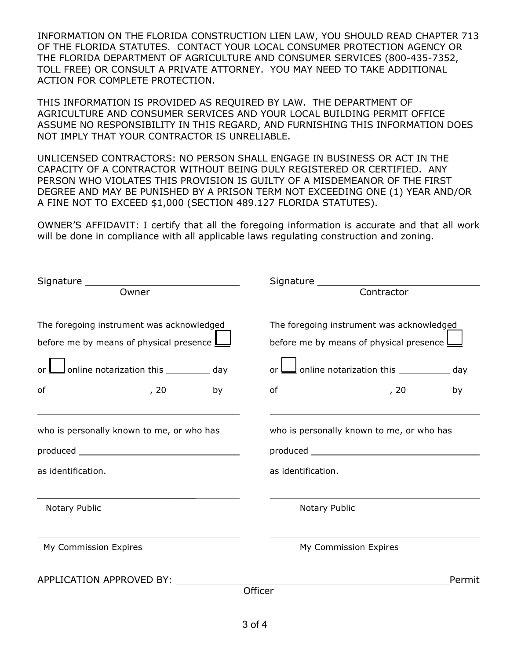INFORMATION ON THE FLORIDA CONSTRUCTION LIEN LAW, YOU SHOULD READ CHAPTER 713 OF THE FLORIDA STATUTES. CONTACT YOUR LOCAL CONSUMER PROTECTION AGENCY OR THE FLORIDA DEPARTMENT OF AGRICULTURE AND CONSUMER SERVICES (800-435-7352, TOLL FREE) OR CONSULT A PRIVATE ATTORNEY. YOU MAY NEED TO TAKE ADDITIONAL ACTION FOR COMPLETE PROTECTION.

THIS INFORMATION IS PROVIDED AS REQUIRED BY LAW. THE DEPARTMENT OF AGRICULTURE AND CONSUMER SERVICES AND YOUR LOCAL BUILDING PERMIT OFFICE ASSUME NO RESPONSIBILITY IN THIS REGARD, AND FURNISHING THIS INFORMATION DOES NOT IMPLY THAT YOUR CONTRACTOR IS UNRELIABLE.

UNLICENSED CONTRACTORS: NO PERSON SHALL ENGAGE IN BUSINESS OR ACT IN THE CAPACITY OF A CONTRACTOR WITHOUT BEING DULY REGISTERED OR CERTIFIED. ANY PERSON WHO VIOLATES THIS PROVISION IS GUILTY OF A MISDEMEANOR OF THE FIRST DEGREE AND MAY BE PUNISHED BY A PRISON TERM NOT EXCEEDING ONE (1) YEAR AND/OR A FINE NOT TO EXCEED \$1,000 (SECTION 489.127 FLORIDA STATUTES).

OWNER'S AFFIDAVIT: I certify that all the foregoing information is accurate and that all work will be done in compliance with all applicable laws regulating construction and zoning.

|                                                                                                               | Signature ____________                                                                                        |
|---------------------------------------------------------------------------------------------------------------|---------------------------------------------------------------------------------------------------------------|
| Owner                                                                                                         | Contractor                                                                                                    |
| The foregoing instrument was acknowledged<br>before me by means of physical presence $\underline{\mathsf{L}}$ | The foregoing instrument was acknowledged<br>before me by means of physical presence $\underline{\mathsf{L}}$ |
| $\equiv$ online notarization this $\equiv$ day                                                                | $\equiv$ online notarization this $\equiv$ day                                                                |
|                                                                                                               |                                                                                                               |
| who is personally known to me, or who has                                                                     | who is personally known to me, or who has                                                                     |
| as identification.                                                                                            | as identification.                                                                                            |
| Notary Public                                                                                                 | Notary Public                                                                                                 |
| My Commission Expires                                                                                         | My Commission Expires                                                                                         |
| APPLICATION APPROVED BY:                                                                                      | Permit                                                                                                        |
|                                                                                                               | Officer                                                                                                       |